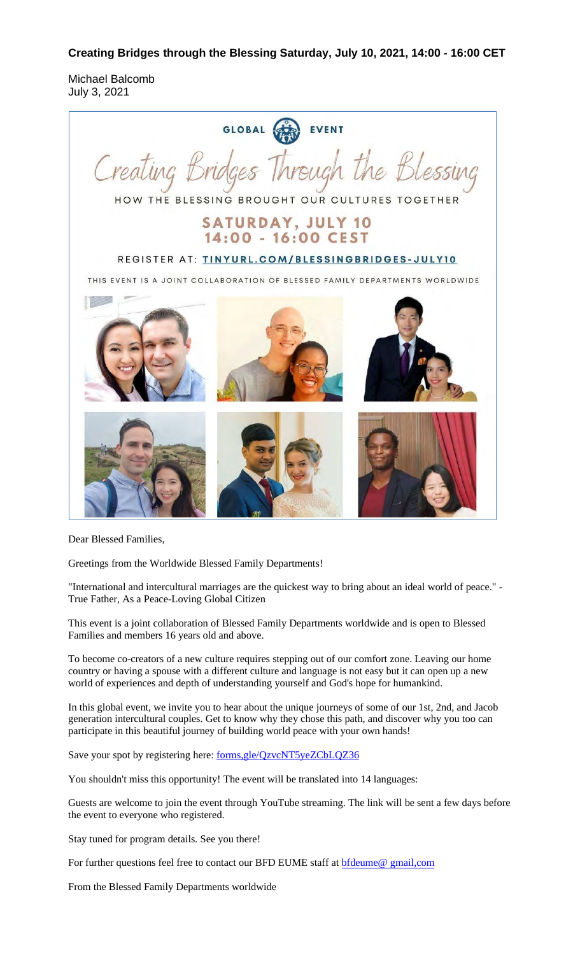**Creating Bridges through the Blessing Saturday, July 10, 2021, 14:00 - 16:00 CET**

Michael Balcomb July 3, 2021



Dear Blessed Families,

Greetings from the Worldwide Blessed Family Departments!

"International and intercultural marriages are the quickest way to bring about an ideal world of peace." - True Father, As a Peace-Loving Global Citizen

This event is a joint collaboration of Blessed Family Departments worldwide and is open to Blessed Families and members 16 years old and above.

To become co-creators of a new culture requires stepping out of our comfort zone. Leaving our home country or having a spouse with a different culture and language is not easy but it can open up a new world of experiences and depth of understanding yourself and God's hope for humankind.

In this global event, we invite you to hear about the unique journeys of some of our 1st, 2nd, and Jacob generation intercultural couples. Get to know why they chose this path, and discover why you too can participate in this beautiful journey of building world peace with your own hands!

Save your spot by registering here: forms, gle/QzvcNT5yeZCbLQZ36

You shouldn't miss this opportunity! The event will be translated into 14 languages:

Guests are welcome to join the event through YouTube streaming. The link will be sent a few days before the event to everyone who registered.

Stay tuned for program details. See you there!

For further questions feel free to contact our BFD EUME staff at **bfdeume@** gmail,com

From the Blessed Family Departments worldwide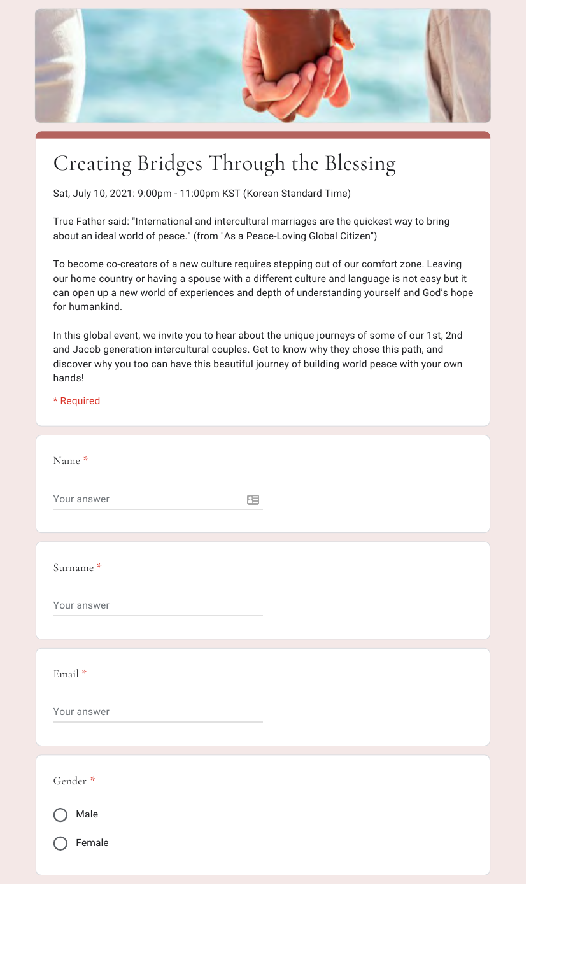

## Creating Bridges Through the Blessing

Sat, July 10, 2021: 9:00pm - 11:00pm KST (Korean Standard Time)

True Father said: "International and intercultural marriages are the quickest way to bring about an ideal world of peace." (from "As a Peace-Loving Global Citizen")

To become co-creators of a new culture requires stepping out of our comfort zone. Leaving our home country or having a spouse with a different culture and language is not easy but it can open up a new world of experiences and depth of understanding yourself and God's hope for humankind.

In this global event, we invite you to hear about the unique journeys of some of our 1st, 2nd and Jacob generation intercultural couples. Get to know why they chose this path, and discover why you too can have this beautiful journey of building world peace with your own hands!

\* Required

| Name *                   |  |
|--------------------------|--|
| Your answer<br>$\equiv$  |  |
|                          |  |
| Surname *                |  |
| Your answer              |  |
|                          |  |
| $\operatorname{Email}$ * |  |
| Your answer              |  |
|                          |  |
| Gender *                 |  |
| Male                     |  |
| Female                   |  |
|                          |  |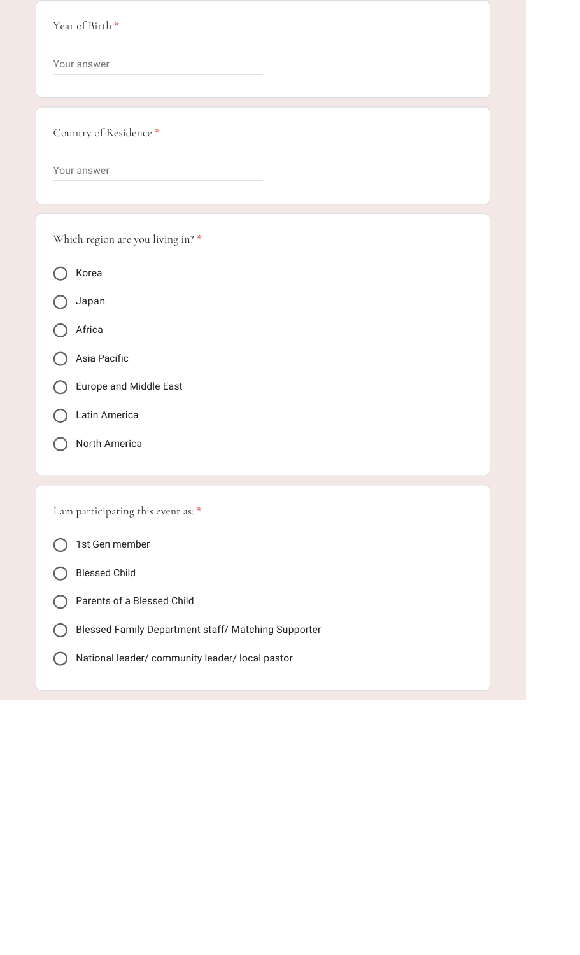| Year of Birth *                                     |
|-----------------------------------------------------|
| Your answer                                         |
|                                                     |
| Country of Residence *                              |
| Your answer                                         |
|                                                     |
| Which region are you living in? *                   |
|                                                     |
| Korea                                               |
| Japan                                               |
| Africa                                              |
| Asia Pacific                                        |
| Europe and Middle East                              |
| Latin America                                       |
| North America                                       |
|                                                     |
| I am participating this event as: *                 |
| 1st Gen member                                      |
| <b>Blessed Child</b>                                |
| Parents of a Blessed Child                          |
| Blessed Family Department staff/ Matching Supporter |
| National leader/ community leader/ local pastor     |